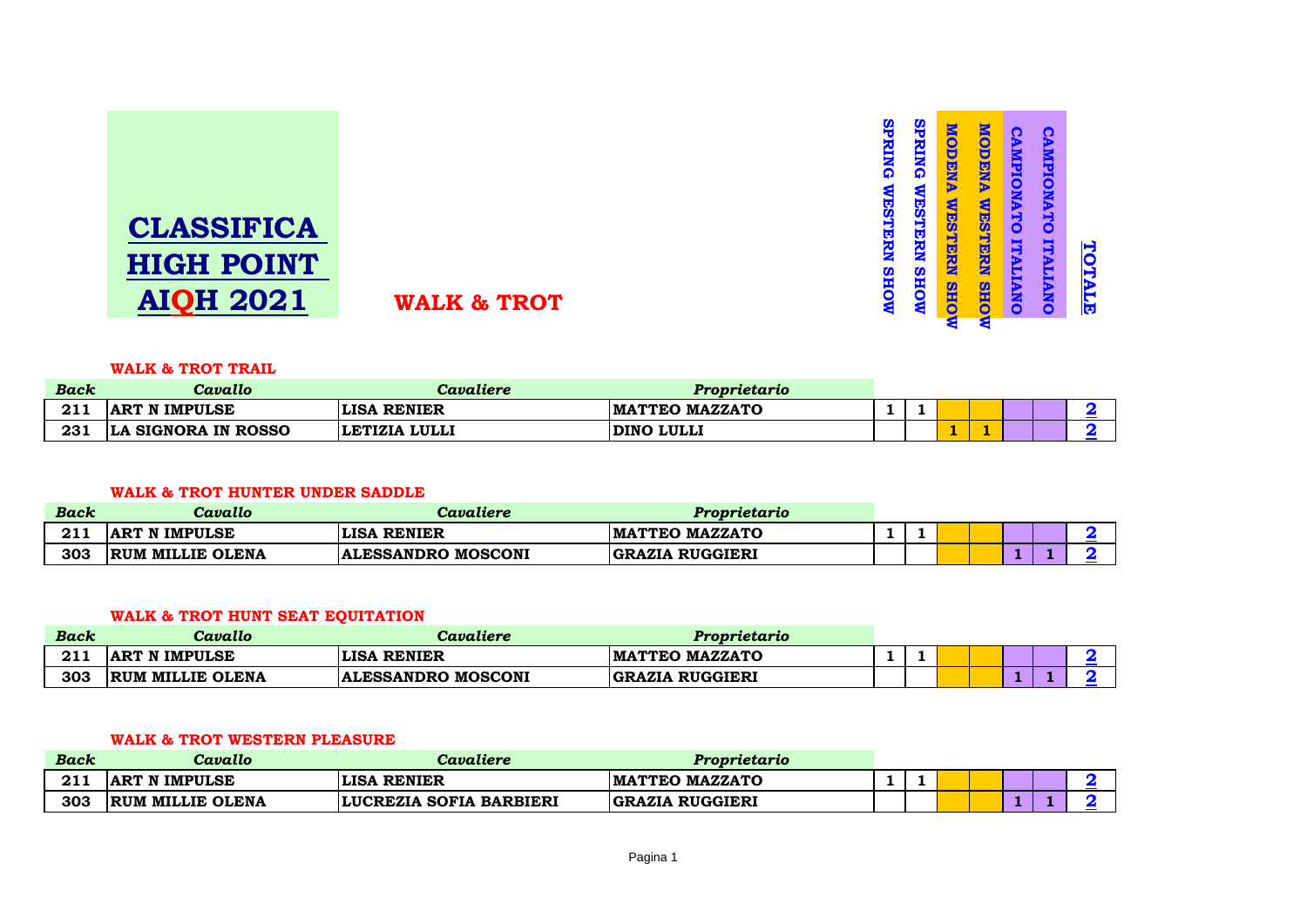

#### **WALK & TROT TRAIL**

| <b>Back</b>        | Cavallo              | Cavaliere          | Proprietario          |  |  |  |  |
|--------------------|----------------------|--------------------|-----------------------|--|--|--|--|
| <b>CIT</b><br>41 L | <b>ART N IMPULSE</b> | <b>LISA RENIER</b> | <b>MATTEO MAZZATO</b> |  |  |  |  |
| 231                | LA SIGNORA IN ROSSO  | LETIZIA LULLI      | DINO LULLI            |  |  |  |  |

**SPRING WESTERN SHOW** 

**SPRING WESTERN SHOW** 

**SPRING WESTERN SHOW** 

**SPRING WESTERN SHOW** 

**MODENA WESTERN SHOW**

**MOHS NESTERN SHOW** 

**MODENA WESTERN SHOW**

**MOHS NESTERN SHOW** 

**CAMPIONATO ITALIANO**

**CAMPIONATO ITALIANO** 

**CAMPIONATO ITALIANO**

CAMPIONATO ITALIANO

**TOTALE**

TOTALE

## **WALK & TROT HUNTER UNDER SADDLE**

| Back | Cavallo                 | Cavaliere                    | <i>Proprietario</i>    |  |  |  |  |
|------|-------------------------|------------------------------|------------------------|--|--|--|--|
| 211  | <b>ART N IMPULSE</b>    | <b>LISA</b><br><b>RENIER</b> | <b>MATTEO MAZZATO</b>  |  |  |  |  |
| 303  | <b>RUM MILLIE OLENA</b> | <b>ALESSANDRO MOSCONI</b>    | <b>GRAZIA RUGGIERI</b> |  |  |  |  |

## **WALK & TROT HUNT SEAT EQUITATION**

| <b>Back</b> | Cavallo              | Cavaliere                 | Proprietario           |  |  |  |  |
|-------------|----------------------|---------------------------|------------------------|--|--|--|--|
| <b>011</b>  | <b>ART N IMPULSE</b> | <b>LISA RENIER</b>        | <b>MATTEO MAZZATO</b>  |  |  |  |  |
| 303         | RUM MILLIE OLENA     | <b>ALESSANDRO MOSCONI</b> | <b>GRAZIA RUGGIERI</b> |  |  |  |  |

#### **WALK & TROT WESTERN PLEASURE**

| <b>Back</b> | Cavallo                 | Cavaliere               | Proprietario           |  |  |  |  |
|-------------|-------------------------|-------------------------|------------------------|--|--|--|--|
| 211         | <b>ART N IMPULSE</b>    | <b>LISA RENIER</b>      | <b>IMATTEO MAZZATO</b> |  |  |  |  |
| 303         | <b>RUM MILLIE OLENA</b> | LUCREZIA SOFIA BARBIERI | <b>GRAZIA RUGGIERI</b> |  |  |  |  |